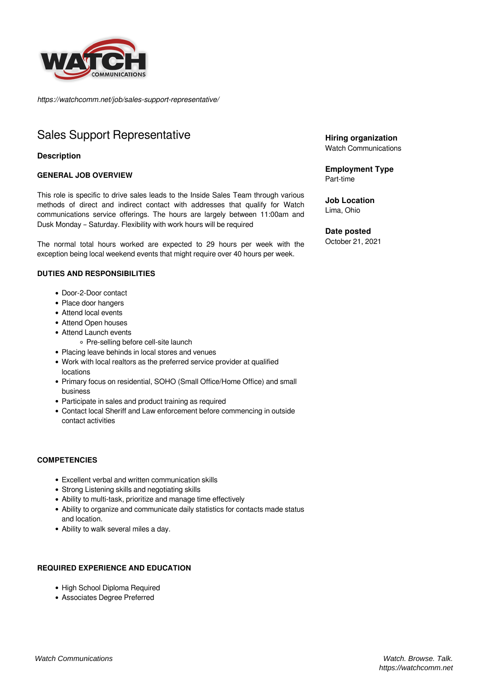

*https://watchcomm.net/job/sales-support-representative/*

# Sales Support Representative

## **Description**

## **GENERAL JOB OVERVIEW**

This role is specific to drive sales leads to the Inside Sales Team through various methods of direct and indirect contact with addresses that qualify for Watch communications service offerings. The hours are largely between 11:00am and Dusk Monday – Saturday. Flexibility with work hours will be required

The normal total hours worked are expected to 29 hours per week with the exception being local weekend events that might require over 40 hours per week.

#### **DUTIES AND RESPONSIBILITIES**

- Door-2-Door contact
- Place door hangers
- Attend local events
- Attend Open houses
- Attend Launch events
	- Pre-selling before cell-site launch
- Placing leave behinds in local stores and venues
- Work with local realtors as the preferred service provider at qualified locations
- Primary focus on residential, SOHO (Small Office/Home Office) and small business
- Participate in sales and product training as required
- Contact local Sheriff and Law enforcement before commencing in outside contact activities

#### **COMPETENCIES**

- Excellent verbal and written communication skills
- Strong Listening skills and negotiating skills
- Ability to multi-task, prioritize and manage time effectively
- Ability to organize and communicate daily statistics for contacts made status and location.
- Ability to walk several miles a day.

# **REQUIRED EXPERIENCE AND EDUCATION**

- High School Diploma Required
- Associates Degree Preferred

**Hiring organization** Watch Communications

**Employment Type** Part-time

**Job Location** Lima, Ohio

**Date posted**

October 21, 2021